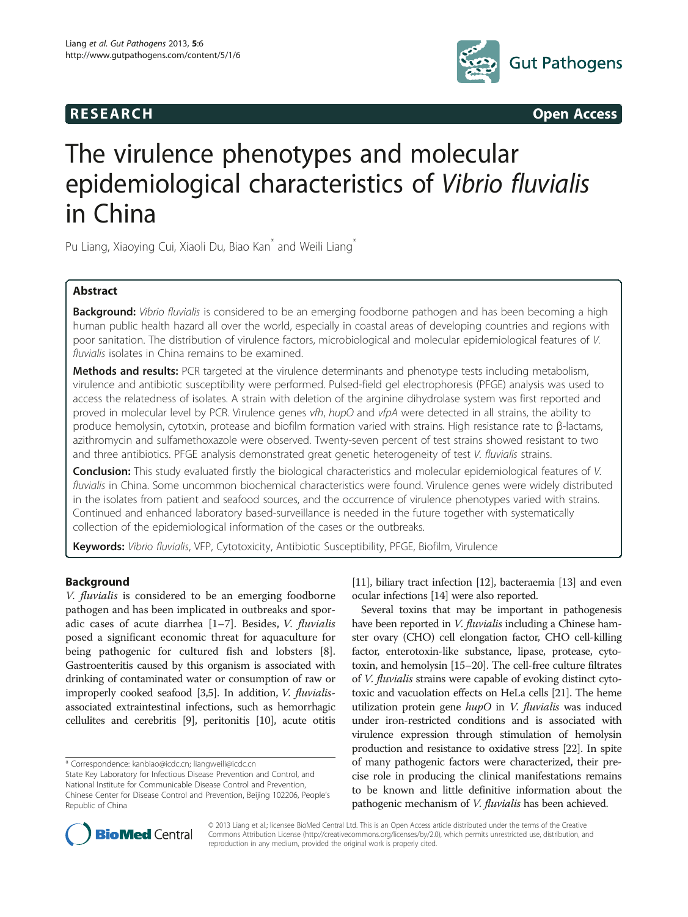## **RESEARCH RESEARCH CONSUMING ACCESS**



# The virulence phenotypes and molecular epidemiological characteristics of Vibrio fluvialis in China

Pu Liang, Xiaoying Cui, Xiaoli Du, Biao Kan<sup>\*</sup> and Weili Liang<sup>\*</sup>

## Abstract

Background: Vibrio fluvialis is considered to be an emerging foodborne pathogen and has been becoming a high human public health hazard all over the world, especially in coastal areas of developing countries and regions with poor sanitation. The distribution of virulence factors, microbiological and molecular epidemiological features of V. fluvialis isolates in China remains to be examined.

Methods and results: PCR targeted at the virulence determinants and phenotype tests including metabolism, virulence and antibiotic susceptibility were performed. Pulsed-field gel electrophoresis (PFGE) analysis was used to access the relatedness of isolates. A strain with deletion of the arginine dihydrolase system was first reported and proved in molecular level by PCR. Virulence genes vfh, hupO and vfpA were detected in all strains, the ability to produce hemolysin, cytotxin, protease and biofilm formation varied with strains. High resistance rate to β-lactams, azithromycin and sulfamethoxazole were observed. Twenty-seven percent of test strains showed resistant to two and three antibiotics. PFGE analysis demonstrated great genetic heterogeneity of test V. fluvialis strains.

**Conclusion:** This study evaluated firstly the biological characteristics and molecular epidemiological features of V. fluvialis in China. Some uncommon biochemical characteristics were found. Virulence genes were widely distributed in the isolates from patient and seafood sources, and the occurrence of virulence phenotypes varied with strains. Continued and enhanced laboratory based-surveillance is needed in the future together with systematically collection of the epidemiological information of the cases or the outbreaks.

Keywords: Vibrio fluvialis, VFP, Cytotoxicity, Antibiotic Susceptibility, PFGE, Biofilm, Virulence

## Background

V. fluvialis is considered to be an emerging foodborne pathogen and has been implicated in outbreaks and sporadic cases of acute diarrhea  $[1-7]$  $[1-7]$  $[1-7]$  $[1-7]$  $[1-7]$ . Besides, V. fluvialis posed a significant economic threat for aquaculture for being pathogenic for cultured fish and lobsters [\[8](#page-8-0)]. Gastroenteritis caused by this organism is associated with drinking of contaminated water or consumption of raw or improperly cooked seafood [\[3,5\]](#page-8-0). In addition, V. fluvialisassociated extraintestinal infections, such as hemorrhagic cellulites and cerebritis [\[9\]](#page-8-0), peritonitis [[10](#page-8-0)], acute otitis

\* Correspondence: [kanbiao@icdc.cn](mailto:kanbiao@icdc.cn); [liangweili@icdc.cn](mailto:liangweili@icdc.cn)

[[11](#page-8-0)], biliary tract infection [\[12\]](#page-8-0), bacteraemia [[13](#page-9-0)] and even ocular infections [\[14](#page-9-0)] were also reported.

Several toxins that may be important in pathogenesis have been reported in *V. fluvialis* including a Chinese hamster ovary (CHO) cell elongation factor, CHO cell-killing factor, enterotoxin-like substance, lipase, protease, cytotoxin, and hemolysin [\[15](#page-9-0)–[20](#page-9-0)]. The cell-free culture filtrates of V. fluvialis strains were capable of evoking distinct cytotoxic and vacuolation effects on HeLa cells [[21](#page-9-0)]. The heme utilization protein gene  $hupO$  in *V. fluvialis* was induced under iron-restricted conditions and is associated with virulence expression through stimulation of hemolysin production and resistance to oxidative stress [\[22\]](#page-9-0). In spite of many pathogenic factors were characterized, their precise role in producing the clinical manifestations remains to be known and little definitive information about the pathogenic mechanism of V. fluvialis has been achieved.



© 2013 Liang et al.; licensee BioMed Central Ltd. This is an Open Access article distributed under the terms of the Creative Commons Attribution License [\(http://creativecommons.org/licenses/by/2.0\)](http://creativecommons.org/licenses/by/2.0), which permits unrestricted use, distribution, and reproduction in any medium, provided the original work is properly cited.

State Key Laboratory for Infectious Disease Prevention and Control, and National Institute for Communicable Disease Control and Prevention, Chinese Center for Disease Control and Prevention, Beijing 102206, People's Republic of China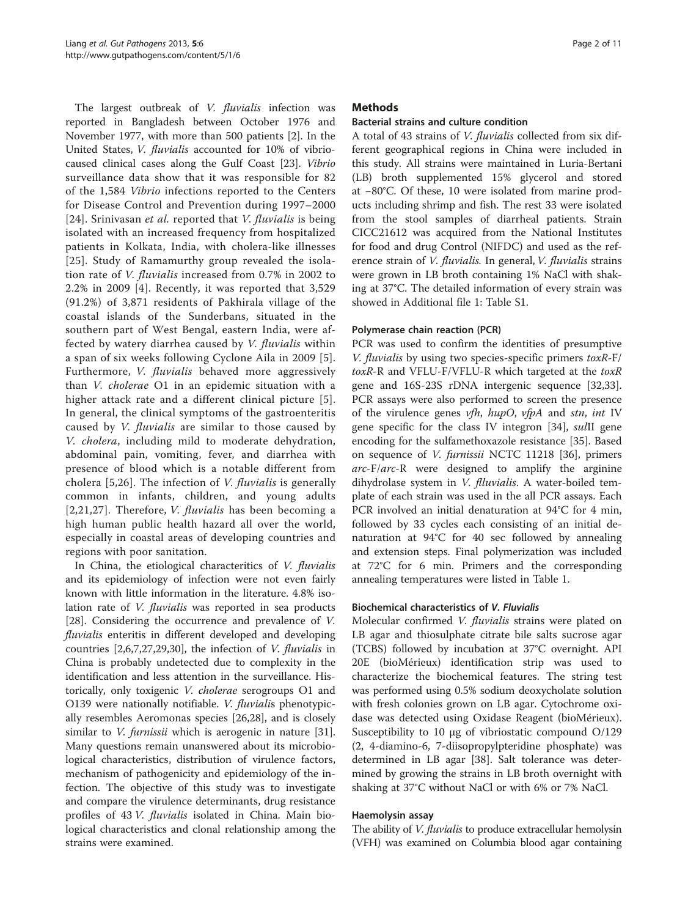The largest outbreak of V. fluvialis infection was reported in Bangladesh between October 1976 and November 1977, with more than 500 patients [\[2\]](#page-8-0). In the United States, V. fluvialis accounted for 10% of vibriocaused clinical cases along the Gulf Coast [[23](#page-9-0)]. Vibrio surveillance data show that it was responsible for 82 of the 1,584 Vibrio infections reported to the Centers for Disease Control and Prevention during 1997–2000 [[24](#page-9-0)]. Srinivasan *et al.* reported that *V. fluvialis* is being isolated with an increased frequency from hospitalized patients in Kolkata, India, with cholera-like illnesses [[25](#page-9-0)]. Study of Ramamurthy group revealed the isolation rate of V. fluvialis increased from 0.7% in 2002 to 2.2% in 2009 [[4](#page-8-0)]. Recently, it was reported that 3,529 (91.2%) of 3,871 residents of Pakhirala village of the coastal islands of the Sunderbans, situated in the southern part of West Bengal, eastern India, were affected by watery diarrhea caused by V. fluvialis within a span of six weeks following Cyclone Aila in 2009 [[5](#page-8-0)]. Furthermore, V. fluvialis behaved more aggressively than V. cholerae O1 in an epidemic situation with a higher attack rate and a different clinical picture [[5](#page-8-0)]. In general, the clinical symptoms of the gastroenteritis caused by V. fluvialis are similar to those caused by V. cholera, including mild to moderate dehydration, abdominal pain, vomiting, fever, and diarrhea with presence of blood which is a notable different from cholera [\[5](#page-8-0),[26](#page-9-0)]. The infection of V. fluvialis is generally common in infants, children, and young adults [[2](#page-8-0)[,21,27](#page-9-0)]. Therefore, *V. fluvialis* has been becoming a high human public health hazard all over the world, especially in coastal areas of developing countries and regions with poor sanitation.

In China, the etiological characteritics of V. fluvialis and its epidemiology of infection were not even fairly known with little information in the literature. 4.8% isolation rate of V. fluvialis was reported in sea products [[28\]](#page-9-0). Considering the occurrence and prevalence of V. fluvialis enteritis in different developed and developing countries [[2](#page-8-0),[6](#page-8-0),[7,](#page-8-0)[27,29,30](#page-9-0)], the infection of V. fluvialis in China is probably undetected due to complexity in the identification and less attention in the surveillance. Historically, only toxigenic V. cholerae serogroups O1 and O139 were nationally notifiable. V. *fluvialis* phenotypically resembles Aeromonas species [\[26,28\]](#page-9-0), and is closely similar to *V. furnissii* which is aerogenic in nature [\[31](#page-9-0)]. Many questions remain unanswered about its microbiological characteristics, distribution of virulence factors, mechanism of pathogenicity and epidemiology of the infection. The objective of this study was to investigate and compare the virulence determinants, drug resistance profiles of 43 V. fluvialis isolated in China. Main biological characteristics and clonal relationship among the strains were examined.

## **Methods**

#### Bacterial strains and culture condition

A total of 43 strains of V. fluvialis collected from six different geographical regions in China were included in this study. All strains were maintained in Luria-Bertani (LB) broth supplemented 15% glycerol and stored at −80°C. Of these, 10 were isolated from marine products including shrimp and fish. The rest 33 were isolated from the stool samples of diarrheal patients. Strain CICC21612 was acquired from the National Institutes for food and drug Control (NIFDC) and used as the reference strain of V. fluvialis. In general, V. fluvialis strains were grown in LB broth containing 1% NaCl with shaking at 37°C. The detailed information of every strain was showed in Additional file [1:](#page-8-0) Table S1.

#### Polymerase chain reaction (PCR)

PCR was used to confirm the identities of presumptive V. fluvialis by using two species-specific primers toxR-F/  $toxR$ -R and VFLU-F/VFLU-R which targeted at the  $toxR$ gene and 16S-23S rDNA intergenic sequence [\[32,33](#page-9-0)]. PCR assays were also performed to screen the presence of the virulence genes vfh, hupO, vfpA and stn, int IV gene specific for the class IV integron [\[34\]](#page-9-0), *sul*II gene encoding for the sulfamethoxazole resistance [\[35](#page-9-0)]. Based on sequence of V. furnissii NCTC 11218 [[36](#page-9-0)], primers arc-F/arc-R were designed to amplify the arginine dihydrolase system in V. flluvialis. A water-boiled template of each strain was used in the all PCR assays. Each PCR involved an initial denaturation at 94°C for 4 min, followed by 33 cycles each consisting of an initial denaturation at 94°C for 40 sec followed by annealing and extension steps. Final polymerization was included at 72°C for 6 min. Primers and the corresponding annealing temperatures were listed in Table [1](#page-2-0).

## Biochemical characteristics of V. Fluvialis

Molecular confirmed V. fluvialis strains were plated on LB agar and thiosulphate citrate bile salts sucrose agar (TCBS) followed by incubation at 37°C overnight. API 20E (bioMérieux) identification strip was used to characterize the biochemical features. The string test was performed using 0.5% sodium deoxycholate solution with fresh colonies grown on LB agar. Cytochrome oxidase was detected using Oxidase Reagent (bioMérieux). Susceptibility to 10 μg of vibriostatic compound O/129 (2, 4-diamino-6, 7-diisopropylpteridine phosphate) was determined in LB agar [\[38](#page-9-0)]. Salt tolerance was determined by growing the strains in LB broth overnight with shaking at 37°C without NaCl or with 6% or 7% NaCl.

#### Haemolysin assay

The ability of *V. fluvialis* to produce extracellular hemolysin (VFH) was examined on Columbia blood agar containing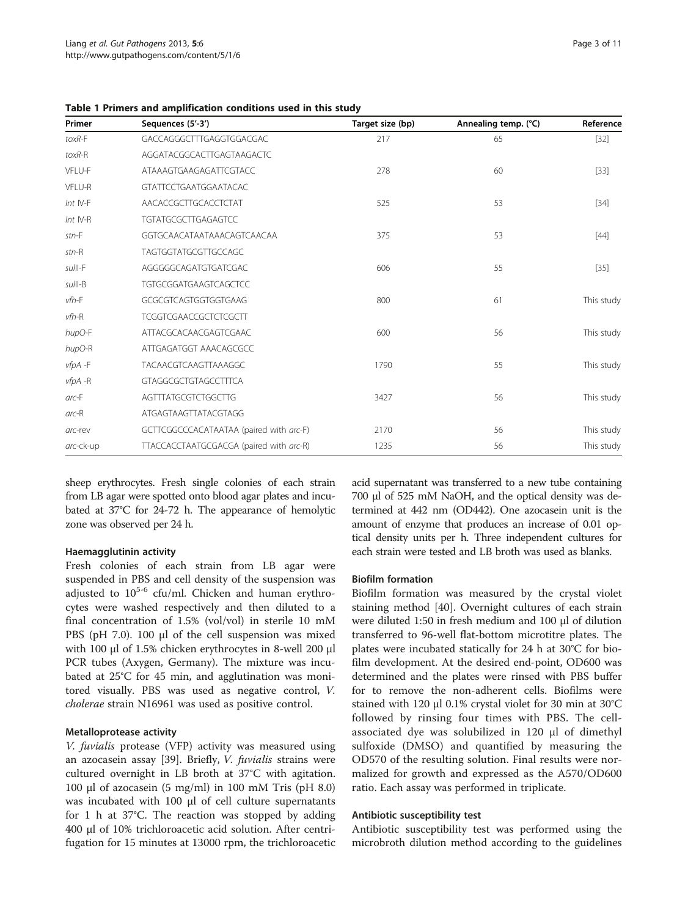| Primer      | Sequences (5'-3')                       | Target size (bp) | Annealing temp. (°C) | Reference  |
|-------------|-----------------------------------------|------------------|----------------------|------------|
| $toxR-F$    | GACCAGGGCTTTGAGGTGGACGAC                | 217              | 65                   | $[32]$     |
| $toxR$ -R   | AGGATACGGCACTTGAGTAAGACTC               |                  |                      |            |
| VFLU-F      | ATAAAGTGAAGAGATTCGTACC                  | 278              | 60                   | $[33]$     |
| VFLU-R      | <b>GTATTCCTGAATGGAATACAC</b>            |                  |                      |            |
| Int IV- $F$ | AACACCGCTTGCACCTCTAT                    | 525              | 53                   | $[34]$     |
| Int $IV-R$  | <b>TGTATGCGCTTGAGAGTCC</b>              |                  |                      |            |
| $str-F$     | GGTGCAACATAATAAACAGTCAACAA              | 375              | 53                   | $[44]$     |
| $str-R$     | TAGTGGTATGCGTTGCCAGC                    |                  |                      |            |
| sull-F      | AGGGGCAGATGTGATCGAC                     | 606              | 55                   | $[35]$     |
| $s$ u/II-B  | <b>TGTGCGGATGAAGTCAGCTCC</b>            |                  |                      |            |
| $vfh-F$     | GCGCGTCAGTGGTGGTGAAG                    | 800              | 61                   | This study |
| $vfh-R$     | <b>TCGGTCGAACCGCTCTCGCTT</b>            |                  |                      |            |
| hupO-F      | ATTACGCACAACGAGTCGAAC                   | 600              | 56                   | This study |
| hupO-R      | ATTGAGATGGT AAACAGCGCC                  |                  |                      |            |
| $vfpA - F$  | <b>TACAACGTCAAGTTAAAGGC</b>             | 1790             | 55                   | This study |
| $vfpA - R$  | <b>GTAGGCGCTGTAGCCTTTCA</b>             |                  |                      |            |
| arc-F       | <b>AGTTTATGCGTCTGGCTTG</b>              | 3427             | 56                   | This study |
| $arc-R$     | ATGAGTAAGTTATACGTAGG                    |                  |                      |            |
| arc-rev     | GCTTCGGCCCACATAATAA (paired with arc-F) | 2170             | 56                   | This study |
| arc-ck-up   | TTACCACCTAATGCGACGA (paired with arc-R) | 1235             | 56                   | This study |

<span id="page-2-0"></span>Table 1 Primers and amplification conditions used in this study

sheep erythrocytes. Fresh single colonies of each strain from LB agar were spotted onto blood agar plates and incubated at 37°C for 24-72 h. The appearance of hemolytic zone was observed per 24 h.

## Haemagglutinin activity

Fresh colonies of each strain from LB agar were suspended in PBS and cell density of the suspension was adjusted to  $10^{5-6}$  cfu/ml. Chicken and human erythrocytes were washed respectively and then diluted to a final concentration of 1.5% (vol/vol) in sterile 10 mM PBS (pH 7.0). 100 μl of the cell suspension was mixed with 100 μl of 1.5% chicken erythrocytes in 8-well 200 μl PCR tubes (Axygen, Germany). The mixture was incubated at 25°C for 45 min, and agglutination was monitored visually. PBS was used as negative control, V. cholerae strain N16961 was used as positive control.

## Metalloprotease activity

V. fuvialis protease (VFP) activity was measured using an azocasein assay [\[39](#page-9-0)]. Briefly, V. fuvialis strains were cultured overnight in LB broth at 37°C with agitation. 100 μl of azocasein (5 mg/ml) in 100 mM Tris (pH 8.0) was incubated with 100 μl of cell culture supernatants for 1 h at 37°C. The reaction was stopped by adding 400 μl of 10% trichloroacetic acid solution. After centrifugation for 15 minutes at 13000 rpm, the trichloroacetic

acid supernatant was transferred to a new tube containing 700 μl of 525 mM NaOH, and the optical density was determined at 442 nm (OD442). One azocasein unit is the amount of enzyme that produces an increase of 0.01 optical density units per h. Three independent cultures for each strain were tested and LB broth was used as blanks.

#### Biofilm formation

Biofilm formation was measured by the crystal violet staining method [\[40](#page-9-0)]. Overnight cultures of each strain were diluted 1:50 in fresh medium and 100 μl of dilution transferred to 96-well flat-bottom microtitre plates. The plates were incubated statically for 24 h at 30°C for biofilm development. At the desired end-point, OD600 was determined and the plates were rinsed with PBS buffer for to remove the non-adherent cells. Biofilms were stained with 120 μl 0.1% crystal violet for 30 min at 30°C followed by rinsing four times with PBS. The cellassociated dye was solubilized in 120 μl of dimethyl sulfoxide (DMSO) and quantified by measuring the OD570 of the resulting solution. Final results were normalized for growth and expressed as the A570/OD600 ratio. Each assay was performed in triplicate.

#### Antibiotic susceptibility test

Antibiotic susceptibility test was performed using the microbroth dilution method according to the guidelines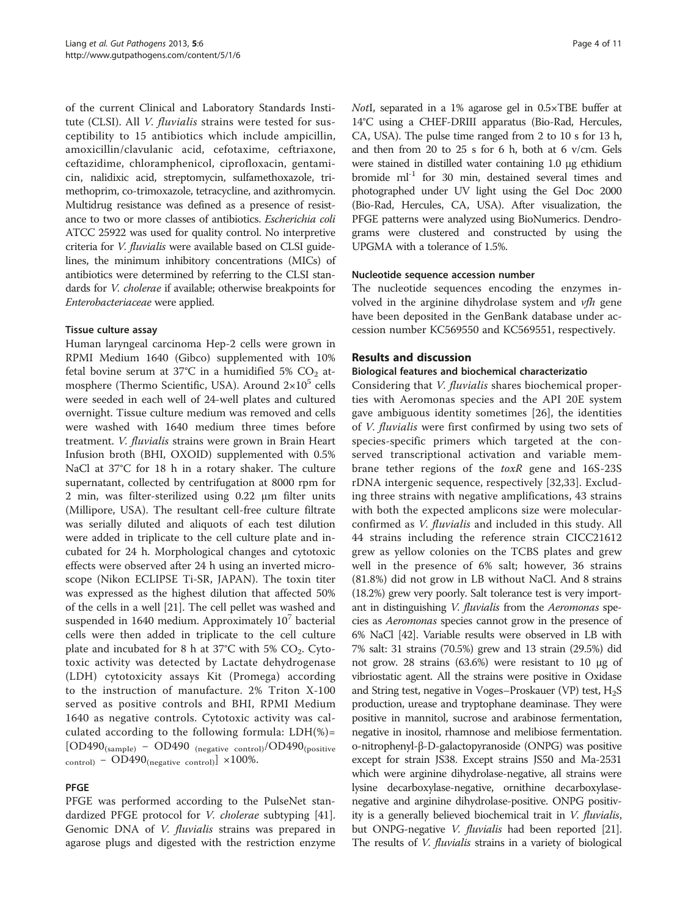of the current Clinical and Laboratory Standards Institute (CLSI). All V. fluvialis strains were tested for susceptibility to 15 antibiotics which include ampicillin, amoxicillin/clavulanic acid, cefotaxime, ceftriaxone, ceftazidime, chloramphenicol, ciprofloxacin, gentamicin, nalidixic acid, streptomycin, sulfamethoxazole, trimethoprim, co-trimoxazole, tetracycline, and azithromycin. Multidrug resistance was defined as a presence of resistance to two or more classes of antibiotics. Escherichia coli ATCC 25922 was used for quality control. No interpretive criteria for V. fluvialis were available based on CLSI guidelines, the minimum inhibitory concentrations (MICs) of antibiotics were determined by referring to the CLSI standards for V. cholerae if available; otherwise breakpoints for Enterobacteriaceae were applied.

#### Tissue culture assay

Human laryngeal carcinoma Hep-2 cells were grown in RPMI Medium 1640 (Gibco) supplemented with 10% fetal bovine serum at 37°C in a humidified 5%  $CO<sub>2</sub>$  atmosphere (Thermo Scientific, USA). Around  $2\times10^5$  cells were seeded in each well of 24-well plates and cultured overnight. Tissue culture medium was removed and cells were washed with 1640 medium three times before treatment. V. fluvialis strains were grown in Brain Heart Infusion broth (BHI, OXOID) supplemented with 0.5% NaCl at 37°C for 18 h in a rotary shaker. The culture supernatant, collected by centrifugation at 8000 rpm for 2 min, was filter-sterilized using 0.22 μm filter units (Millipore, USA). The resultant cell-free culture filtrate was serially diluted and aliquots of each test dilution were added in triplicate to the cell culture plate and incubated for 24 h. Morphological changes and cytotoxic effects were observed after 24 h using an inverted microscope (Nikon ECLIPSE Ti-SR, JAPAN). The toxin titer was expressed as the highest dilution that affected 50% of the cells in a well [[21\]](#page-9-0). The cell pellet was washed and suspended in 1640 medium. Approximately  $10<sup>7</sup>$  bacterial cells were then added in triplicate to the cell culture plate and incubated for 8 h at 37°C with 5%  $CO_2$ . Cytotoxic activity was detected by Lactate dehydrogenase (LDH) cytotoxicity assays Kit (Promega) according to the instruction of manufacture. 2% Triton X-100 served as positive controls and BHI, RPMI Medium 1640 as negative controls. Cytotoxic activity was calculated according to the following formula:  $LDH(\%)$ =  $[OD490_{(sample)} - OD490_{(negative control)} / OD490_{(positive)}}$ control) – OD490 $_{(negative \ control)}$  ×100%.

## PFGE

PFGE was performed according to the PulseNet standardized PFGE protocol for V. cholerae subtyping [\[41](#page-9-0)]. Genomic DNA of *V. fluvialis* strains was prepared in agarose plugs and digested with the restriction enzyme NotI, separated in a 1% agarose gel in 0.5×TBE buffer at 14°C using a CHEF-DRIII apparatus (Bio-Rad, Hercules, CA, USA). The pulse time ranged from 2 to 10 s for 13 h, and then from 20 to 25 s for 6 h, both at 6 v/cm. Gels were stained in distilled water containing 1.0 μg ethidium bromide  $ml^{-1}$  for 30 min, destained several times and photographed under UV light using the Gel Doc 2000 (Bio-Rad, Hercules, CA, USA). After visualization, the PFGE patterns were analyzed using BioNumerics. Dendrograms were clustered and constructed by using the UPGMA with a tolerance of 1.5%.

## Nucleotide sequence accession number

The nucleotide sequences encoding the enzymes involved in the arginine dihydrolase system and vfh gene have been deposited in the GenBank database under accession number KC569550 and KC569551, respectively.

## Results and discussion

## Biological features and biochemical characterizatio

Considering that V. fluvialis shares biochemical properties with Aeromonas species and the API 20E system gave ambiguous identity sometimes [[26\]](#page-9-0), the identities of V. fluvialis were first confirmed by using two sets of species-specific primers which targeted at the conserved transcriptional activation and variable membrane tether regions of the toxR gene and 16S-23S rDNA intergenic sequence, respectively [[32,33](#page-9-0)]. Excluding three strains with negative amplifications, 43 strains with both the expected amplicons size were molecularconfirmed as V. fluvialis and included in this study. All 44 strains including the reference strain CICC21612 grew as yellow colonies on the TCBS plates and grew well in the presence of 6% salt; however, 36 strains (81.8%) did not grow in LB without NaCl. And 8 strains (18.2%) grew very poorly. Salt tolerance test is very important in distinguishing *V. fluvialis* from the *Aeromonas* species as Aeromonas species cannot grow in the presence of 6% NaCl [[42](#page-9-0)]. Variable results were observed in LB with 7% salt: 31 strains (70.5%) grew and 13 strain (29.5%) did not grow. 28 strains (63.6%) were resistant to 10 μg of vibriostatic agent. All the strains were positive in Oxidase and String test, negative in Voges–Proskauer (VP) test,  $H_2S$ production, urease and tryptophane deaminase. They were positive in mannitol, sucrose and arabinose fermentation, negative in inositol, rhamnose and melibiose fermentation. o-nitrophenyl-β-D-galactopyranoside (ONPG) was positive except for strain JS38. Except strains JS50 and Ma-2531 which were arginine dihydrolase-negative, all strains were lysine decarboxylase-negative, ornithine decarboxylasenegative and arginine dihydrolase-positive. ONPG positivity is a generally believed biochemical trait in V. fluvialis, but ONPG-negative *V. fluvialis* had been reported [\[21](#page-9-0)]. The results of *V. fluvialis* strains in a variety of biological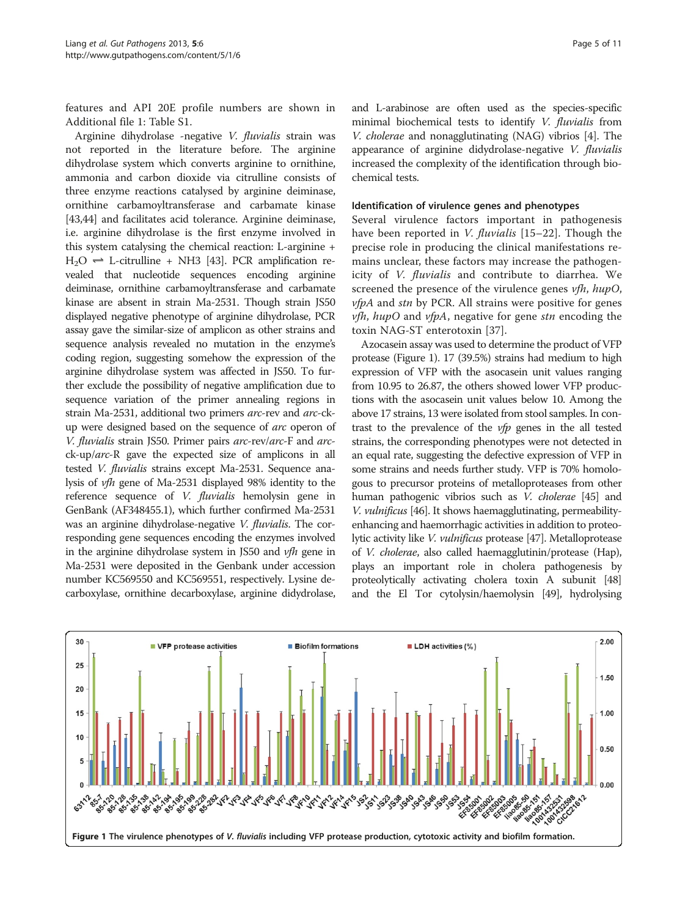<span id="page-4-0"></span>features and API 20E profile numbers are shown in Additional file [1:](#page-8-0) Table S1.

Arginine dihydrolase -negative V. fluvialis strain was not reported in the literature before. The arginine dihydrolase system which converts arginine to ornithine, ammonia and carbon dioxide via citrulline consists of three enzyme reactions catalysed by arginine deiminase, ornithine carbamoyltransferase and carbamate kinase [[43,44](#page-9-0)] and facilitates acid tolerance. Arginine deiminase, i.e. arginine dihydrolase is the first enzyme involved in this system catalysing the chemical reaction: L-arginine +  $H_2O \rightleftharpoons$  L-citrulline + NH3 [[43](#page-9-0)]. PCR amplification revealed that nucleotide sequences encoding arginine deiminase, ornithine carbamoyltransferase and carbamate kinase are absent in strain Ma-2531. Though strain JS50 displayed negative phenotype of arginine dihydrolase, PCR assay gave the similar-size of amplicon as other strains and sequence analysis revealed no mutation in the enzyme's coding region, suggesting somehow the expression of the arginine dihydrolase system was affected in JS50. To further exclude the possibility of negative amplification due to sequence variation of the primer annealing regions in strain Ma-2531, additional two primers arc-rev and arc-ckup were designed based on the sequence of arc operon of V. fluvialis strain JS50. Primer pairs arc-rev/arc-F and arcck-up/arc-R gave the expected size of amplicons in all tested V. fluvialis strains except Ma-2531. Sequence analysis of vfh gene of Ma-2531 displayed 98% identity to the reference sequence of V. fluvialis hemolysin gene in GenBank (AF348455.1), which further confirmed Ma-2531 was an arginine dihydrolase-negative V. fluvialis. The corresponding gene sequences encoding the enzymes involved in the arginine dihydrolase system in JS50 and vfh gene in Ma-2531 were deposited in the Genbank under accession number KC569550 and KC569551, respectively. Lysine decarboxylase, ornithine decarboxylase, arginine didydrolase, and L-arabinose are often used as the species-specific minimal biochemical tests to identify V. fluvialis from V. cholerae and nonagglutinating (NAG) vibrios [[4\]](#page-8-0). The appearance of arginine didydrolase-negative V. fluvialis increased the complexity of the identification through biochemical tests.

#### Identification of virulence genes and phenotypes

Several virulence factors important in pathogenesis have been reported in *V. fluvialis* [[15](#page-9-0)–[22](#page-9-0)]. Though the precise role in producing the clinical manifestations remains unclear, these factors may increase the pathogenicity of V. fluvialis and contribute to diarrhea. We screened the presence of the virulence genes vfh, hupO, *vfpA* and *stn* by PCR. All strains were positive for genes *vfh*,  $hupO$  and *vfpA*, negative for gene *stn* encoding the toxin NAG-ST enterotoxin [[37\]](#page-9-0).

Azocasein assay was used to determine the product of VFP protease (Figure 1). 17 (39.5%) strains had medium to high expression of VFP with the asocasein unit values ranging from 10.95 to 26.87, the others showed lower VFP productions with the asocasein unit values below 10. Among the above 17 strains, 13 were isolated from stool samples. In contrast to the prevalence of the  $vfp$  genes in the all tested strains, the corresponding phenotypes were not detected in an equal rate, suggesting the defective expression of VFP in some strains and needs further study. VFP is 70% homologous to precursor proteins of metalloproteases from other human pathogenic vibrios such as V. cholerae [\[45\]](#page-9-0) and V. vulnificus [\[46](#page-9-0)]. It shows haemagglutinating, permeabilityenhancing and haemorrhagic activities in addition to proteolytic activity like V. vulnificus protease [[47](#page-9-0)]. Metalloprotease of V. cholerae, also called haemagglutinin/protease (Hap), plays an important role in cholera pathogenesis by proteolytically activating cholera toxin A subunit [\[48](#page-9-0)] and the El Tor cytolysin/haemolysin [\[49\]](#page-9-0), hydrolysing

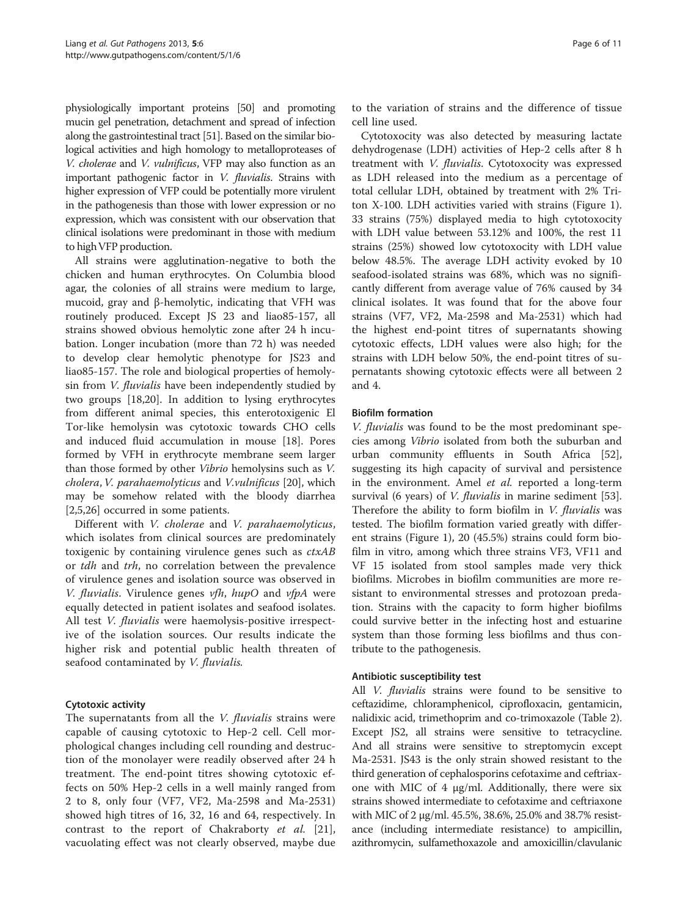physiologically important proteins [\[50\]](#page-9-0) and promoting mucin gel penetration, detachment and spread of infection along the gastrointestinal tract [[51\]](#page-9-0). Based on the similar biological activities and high homology to metalloproteases of V. cholerae and V. vulnificus, VFP may also function as an important pathogenic factor in V. fluvialis. Strains with higher expression of VFP could be potentially more virulent in the pathogenesis than those with lower expression or no expression, which was consistent with our observation that clinical isolations were predominant in those with medium to highVFP production.

All strains were agglutination-negative to both the chicken and human erythrocytes. On Columbia blood agar, the colonies of all strains were medium to large, mucoid, gray and β-hemolytic, indicating that VFH was routinely produced. Except JS 23 and liao85-157, all strains showed obvious hemolytic zone after 24 h incubation. Longer incubation (more than 72 h) was needed to develop clear hemolytic phenotype for JS23 and liao85-157. The role and biological properties of hemolysin from *V. fluvialis* have been independently studied by two groups [\[18,20](#page-9-0)]. In addition to lysing erythrocytes from different animal species, this enterotoxigenic El Tor-like hemolysin was cytotoxic towards CHO cells and induced fluid accumulation in mouse [[18](#page-9-0)]. Pores formed by VFH in erythrocyte membrane seem larger than those formed by other Vibrio hemolysins such as V. cholera,V. parahaemolyticus and V.vulnificus [\[20\]](#page-9-0), which may be somehow related with the bloody diarrhea [[2,5,](#page-8-0)[26\]](#page-9-0) occurred in some patients.

Different with V. cholerae and V. parahaemolyticus, which isolates from clinical sources are predominately toxigenic by containing virulence genes such as *ctxAB* or tdh and trh, no correlation between the prevalence of virulence genes and isolation source was observed in V. fluvialis. Virulence genes vfh, hupO and vfpA were equally detected in patient isolates and seafood isolates. All test *V. fluvialis* were haemolysis-positive irrespective of the isolation sources. Our results indicate the higher risk and potential public health threaten of seafood contaminated by V. fluvialis.

## Cytotoxic activity

The supernatants from all the *V. fluvialis* strains were capable of causing cytotoxic to Hep-2 cell. Cell morphological changes including cell rounding and destruction of the monolayer were readily observed after 24 h treatment. The end-point titres showing cytotoxic effects on 50% Hep-2 cells in a well mainly ranged from 2 to 8, only four (VF7, VF2, Ma-2598 and Ma-2531) showed high titres of 16, 32, 16 and 64, respectively. In contrast to the report of Chakraborty et al. [\[21](#page-9-0)], vacuolating effect was not clearly observed, maybe due

to the variation of strains and the difference of tissue cell line used.

Cytotoxocity was also detected by measuring lactate dehydrogenase (LDH) activities of Hep-2 cells after 8 h treatment with V. fluvialis. Cytotoxocity was expressed as LDH released into the medium as a percentage of total cellular LDH, obtained by treatment with 2% Triton X-100. LDH activities varied with strains (Figure [1](#page-4-0)). 33 strains (75%) displayed media to high cytotoxocity with LDH value between 53.12% and 100%, the rest 11 strains (25%) showed low cytotoxocity with LDH value below 48.5%. The average LDH activity evoked by 10 seafood-isolated strains was 68%, which was no significantly different from average value of 76% caused by 34 clinical isolates. It was found that for the above four strains (VF7, VF2, Ma-2598 and Ma-2531) which had the highest end-point titres of supernatants showing cytotoxic effects, LDH values were also high; for the strains with LDH below 50%, the end-point titres of supernatants showing cytotoxic effects were all between 2 and 4.

## Biofilm formation

V. fluvialis was found to be the most predominant species among Vibrio isolated from both the suburban and urban community effluents in South Africa [\[52](#page-9-0)], suggesting its high capacity of survival and persistence in the environment. Amel et al. reported a long-term survival (6 years) of *V. fluvialis* in marine sediment [\[53](#page-9-0)]. Therefore the ability to form biofilm in V. fluvialis was tested. The biofilm formation varied greatly with different strains (Figure [1](#page-4-0)), 20 (45.5%) strains could form biofilm in vitro, among which three strains VF3, VF11 and VF 15 isolated from stool samples made very thick biofilms. Microbes in biofilm communities are more resistant to environmental stresses and protozoan predation. Strains with the capacity to form higher biofilms could survive better in the infecting host and estuarine system than those forming less biofilms and thus contribute to the pathogenesis.

#### Antibiotic susceptibility test

All *V. fluvialis* strains were found to be sensitive to ceftazidime, chloramphenicol, ciprofloxacin, gentamicin, nalidixic acid, trimethoprim and co-trimoxazole (Table [2](#page-6-0)). Except JS2, all strains were sensitive to tetracycline. And all strains were sensitive to streptomycin except Ma-2531. JS43 is the only strain showed resistant to the third generation of cephalosporins cefotaxime and ceftriaxone with MIC of 4  $\mu$ g/ml. Additionally, there were six strains showed intermediate to cefotaxime and ceftriaxone with MIC of 2 μg/ml. 45.5%, 38.6%, 25.0% and 38.7% resistance (including intermediate resistance) to ampicillin, azithromycin, sulfamethoxazole and amoxicillin/clavulanic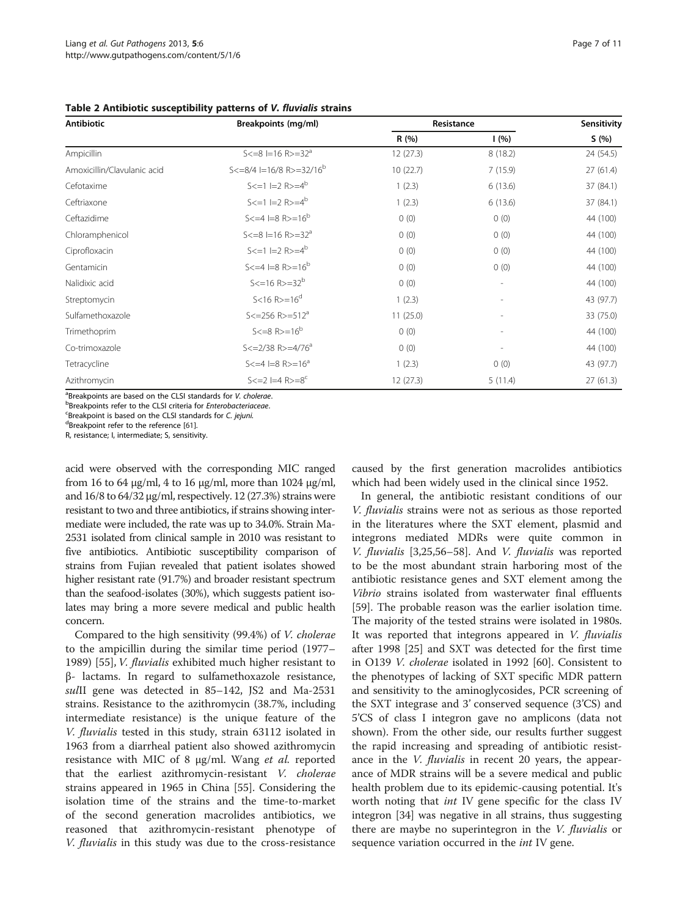<span id="page-6-0"></span>

|  |  |  |  | Table 2 Antibiotic susceptibility patterns of <i>V. fluvialis</i> strains |
|--|--|--|--|---------------------------------------------------------------------------|
|--|--|--|--|---------------------------------------------------------------------------|

| Antibiotic                  | Breakpoints (mg/ml)                             | Resistance                       | Sensitivity              |           |
|-----------------------------|-------------------------------------------------|----------------------------------|--------------------------|-----------|
|                             |                                                 | R(%)                             | 1(%)                     | S(% )     |
| Ampicillin                  | $S = 8$ = 16 R $> = 32a$                        | 12(27.3)                         | 8(18.2)                  | 24 (54.5) |
| Amoxicillin/Clavulanic acid | $S < = 8/4$ $= 16/8$ R $> = 32/16$ <sup>b</sup> | 10(22.7)                         | 7(15.9)                  | 27(61.4)  |
| Cefotaxime                  | $S = 1$ $= 2$ $R > 4^b$                         | 1(2.3)                           | 6(13.6)                  | 37 (84.1) |
| Ceftriaxone                 | $S \le 1$ $I = 2$ $R > 4^b$                     | 1(2.3)                           | 6(13.6)                  | 37 (84.1) |
| Ceftazidime                 | $S \le 4$ $= 8$ $R > 16^b$                      | 0(0)                             | 0(0)                     | 44 (100)  |
| Chloramphenicol             | $S = 8 = 16 R = 32a$                            | 0(0)                             | 0(0)                     | 44 (100)  |
| Ciprofloxacin               | $S \le 1$ $I = 2$ $R > 4^b$                     | 0(0)                             | 0(0)                     | 44 (100)  |
| Gentamicin                  | $S = 4$ $I = 8$ $R > 16^b$                      | 0(0)                             | 0(0)                     | 44 (100)  |
| Nalidixic acid              | $S = 16 R = 32^{b}$                             | 0(0)                             | $\overline{\phantom{a}}$ | 44 (100)  |
| Streptomycin                | S<16 R>= $16^d$                                 | 1(2.3)                           |                          | 43 (97.7) |
| Sulfamethoxazole            | $S = 256 R = 512a$                              | 11(25.0)                         |                          | 33 (75.0) |
| Trimethoprim                | $S = 8 R = 16^{b}$                              | 0(0)<br>$\overline{\phantom{a}}$ |                          | 44 (100)  |
| Co-trimoxazole              | $S < = 2/38$ R>=4/76 <sup>a</sup>               | 0(0)                             |                          | 44 (100)  |
| Tetracycline                | $S = 4$ =8 R $> = 16a$                          | 1(2.3)                           | 0(0)                     | 43 (97.7) |
| Azithromycin                | $S = 2$ $I = 4$ $R > 8^c$                       | 12(27.3)                         | 5(11.4)                  | 27(61.3)  |

<sup>a</sup>Breakpoints are based on the CLSI standards for V. cholerge. <sup>a</sup>Breakpoints are based on the CLSI standards for V. *cholerae.*<br><sup>b</sup>Breakpoints refer to the CLSI criteria for *Enterphacteriaceae* 

<sup>B</sup>Breakpoints refer to the CLSI criteria for *Enterobacteriaceae.*<br><sup>S</sup>Breakpoint is based on the CLSI standards for C-*ieiuni* 

 ${}^{\text{c}}$ Breakpoint is based on the CLSI standards for C. jejuni. <sup>d</sup>Breakpoint refer to the reference [[61\]](#page-10-0).

R, resistance; I, intermediate; S, sensitivity.

acid were observed with the corresponding MIC ranged from 16 to 64 μg/ml, 4 to 16 μg/ml, more than  $1024 \mu g/ml$ , and 16/8 to 64/32 μg/ml, respectively. 12 (27.3%) strains were resistant to two and three antibiotics, if strains showing intermediate were included, the rate was up to 34.0%. Strain Ma-2531 isolated from clinical sample in 2010 was resistant to five antibiotics. Antibiotic susceptibility comparison of strains from Fujian revealed that patient isolates showed higher resistant rate (91.7%) and broader resistant spectrum than the seafood-isolates (30%), which suggests patient isolates may bring a more severe medical and public health concern.

Compared to the high sensitivity (99.4%) of V. cholerae to the ampicillin during the similar time period (1977– 1989) [[55](#page-9-0)], *V. fluvialis* exhibited much higher resistant to β- lactams. In regard to sulfamethoxazole resistance, sulII gene was detected in 85–142, JS2 and Ma-2531 strains. Resistance to the azithromycin (38.7%, including intermediate resistance) is the unique feature of the V. *fluvialis* tested in this study, strain 63112 isolated in 1963 from a diarrheal patient also showed azithromycin resistance with MIC of 8 μg/ml. Wang et al. reported that the earliest azithromycin-resistant V. cholerae strains appeared in 1965 in China [[55](#page-9-0)]. Considering the isolation time of the strains and the time-to-market of the second generation macrolides antibiotics, we reasoned that azithromycin-resistant phenotype of V. fluvialis in this study was due to the cross-resistance

caused by the first generation macrolides antibiotics which had been widely used in the clinical since 1952.

In general, the antibiotic resistant conditions of our V. fluvialis strains were not as serious as those reported in the literatures where the SXT element, plasmid and integrons mediated MDRs were quite common in V. fluvialis [[3,](#page-8-0)[25,](#page-9-0)[56](#page-10-0)–[58](#page-10-0)]. And V. fluvialis was reported to be the most abundant strain harboring most of the antibiotic resistance genes and SXT element among the Vibrio strains isolated from wasterwater final effluents [[59\]](#page-10-0). The probable reason was the earlier isolation time. The majority of the tested strains were isolated in 1980s. It was reported that integrons appeared in  $V$ . fluvialis after 1998 [[25](#page-9-0)] and SXT was detected for the first time in O139 V. cholerae isolated in 1992 [\[60](#page-10-0)]. Consistent to the phenotypes of lacking of SXT specific MDR pattern and sensitivity to the aminoglycosides, PCR screening of the SXT integrase and 3' conserved sequence (3'CS) and 5'CS of class I integron gave no amplicons (data not shown). From the other side, our results further suggest the rapid increasing and spreading of antibiotic resistance in the *V. fluvialis* in recent 20 years, the appearance of MDR strains will be a severe medical and public health problem due to its epidemic-causing potential. It's worth noting that int IV gene specific for the class IV integron [[34\]](#page-9-0) was negative in all strains, thus suggesting there are maybe no superintegron in the *V. fluvialis* or sequence variation occurred in the *int* IV gene.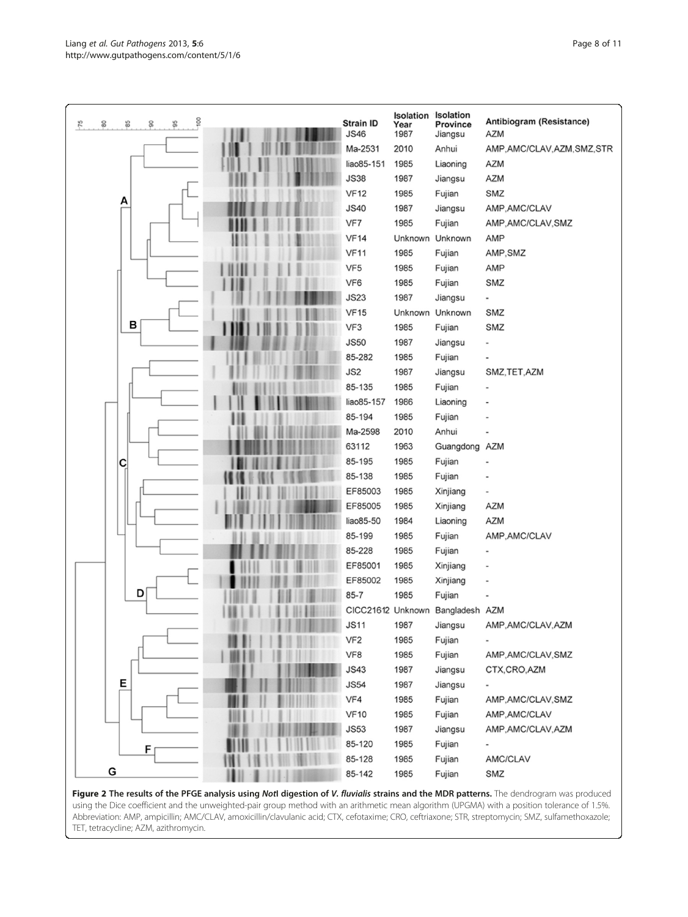

<span id="page-7-0"></span>

| <b>COL</b><br>$-75$<br>8<br>85<br>8<br>\$ | <b>Strain ID</b><br><b>JS46</b> | <b>Isolation Isolation</b><br>Year<br>1987 | Province<br>Jiangsu | Antibiogram (Resistance)<br><b>AZM</b> |
|-------------------------------------------|---------------------------------|--------------------------------------------|---------------------|----------------------------------------|
|                                           | Ma-2531                         | 2010                                       | Anhui               | AMP, AMC/CLAV, AZM, SMZ, STR           |
|                                           | liao85-151                      | 1985                                       | Liaoning            | AZM                                    |
|                                           | <b>JS38</b>                     | 1987                                       | Jiangsu             | AZM                                    |
| Α                                         | <b>VF12</b>                     | 1985                                       | Fujian              | SMZ                                    |
|                                           | <b>JS40</b>                     | 1987                                       | Jiangsu             | AMP, AMC/CLAV                          |
|                                           | VF7                             | 1985                                       | Fujian              | AMP, AMC/CLAV, SMZ                     |
|                                           | <b>VF14</b>                     | Unknown                                    | Unknown             | AMP                                    |
|                                           | <b>VF11</b>                     | 1985                                       | Fujian              | AMP, SMZ                               |
|                                           | VF <sub>5</sub>                 | 1985                                       | Fujian              | AMP                                    |
|                                           | VF6                             | 1985                                       | Fujian              | SMZ                                    |
|                                           | <b>JS23</b>                     | 1987                                       | Jiangsu             | $\overline{a}$                         |
|                                           | <b>VF15</b>                     | Unknown Unknown                            |                     | SMZ                                    |
| в                                         | VF3                             | 1985                                       | Fujian              | <b>SMZ</b>                             |
|                                           | <b>JS50</b>                     | 1987                                       | Jiangsu             |                                        |
|                                           | 85-282                          | 1985                                       | Fujian              |                                        |
|                                           | JS2                             | 1987                                       | Jiangsu             | SMZ, TET, AZM                          |
|                                           | 85-135                          | 1985                                       | Fujian              |                                        |
|                                           | liao85-157                      | 1986                                       | Liaoning            |                                        |
|                                           | 85-194                          | 1985                                       | Fujian              |                                        |
|                                           | Ma-2598                         | 2010                                       | Anhui               |                                        |
|                                           | 63112                           | 1963                                       | Guangdong AZM       |                                        |
| с                                         | 85-195                          | 1985                                       | Fujian              |                                        |
|                                           | 85-138                          | 1985                                       | Fujian              |                                        |
|                                           | EF85003                         | 1985                                       | Xinjiang            |                                        |
|                                           | EF85005                         | 1985                                       | Xinjiang            | <b>AZM</b>                             |
|                                           | liao85-50                       | 1984                                       | Liaoning            | AZM                                    |
|                                           | 85-199                          | 1985                                       | Fujian              | AMP, AMC/CLAV                          |
|                                           | 85-228                          | 1985                                       | Fujian              |                                        |
|                                           | EF85001                         | 1985                                       | Xinjiang            |                                        |
|                                           | EF85002                         | 1985                                       | Xinjiang            |                                        |
| D                                         | $85 - 7$                        | 1985                                       | Fujian              |                                        |
|                                           | CICC21612 Unknown               |                                            | Bangladesh AZM      |                                        |
|                                           | <b>JS11</b>                     | 1987                                       | Jiangsu             | AMP, AMC/CLAV, AZM                     |
|                                           | VF <sub>2</sub>                 | 1985                                       | Fujian              | $\blacksquare$                         |
|                                           | VF8                             | 1985                                       | Fujian              | AMP, AMC/CLAV, SMZ                     |
|                                           | <b>JS43</b>                     | 1987                                       | Jiangsu             | CTX,CRO,AZM                            |
| Е                                         | <b>JS54</b>                     | 1987                                       | Jiangsu             |                                        |
|                                           | VF4                             | 1985                                       | Fujian              | AMP, AMC/CLAV, SMZ                     |
|                                           | <b>VF10</b>                     | 1985                                       | Fujian              | AMP, AMC/CLAV                          |
|                                           | <b>JS53</b>                     | 1987                                       | Jiangsu             | AMP, AMC/CLAV, AZM                     |
| F                                         | 85-120                          | 1985                                       | Fujian              |                                        |
|                                           | 85-128                          | 1985                                       | Fujian              | AMC/CLAV                               |
| G                                         | 85-142                          | 1985                                       | Fujian              | SMZ                                    |

Figure 2 The results of the PFGE analysis using NotI digestion of V. fluvialis strains and the MDR patterns. The dendrogram was produced using the Dice coefficient and the unweighted-pair group method with an arithmetic mean algorithm (UPGMA) with a position tolerance of 1.5%. Abbreviation: AMP, ampicillin; AMC/CLAV, amoxicillin/clavulanic acid; CTX, cefotaxime; CRO, ceftriaxone; STR, streptomycin; SMZ, sulfamethoxazole; TET, tetracycline; AZM, azithromycin.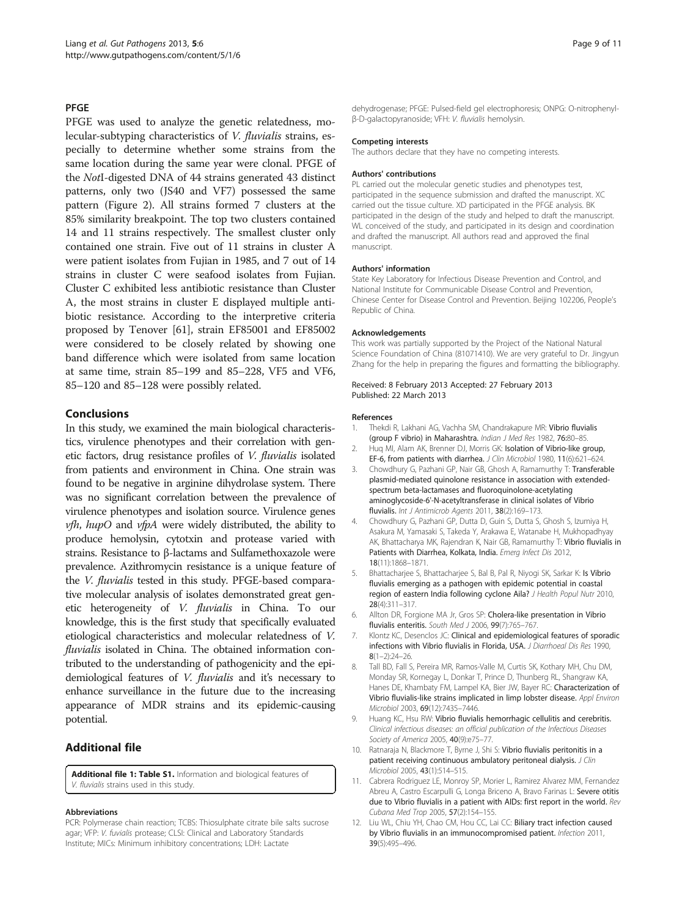#### <span id="page-8-0"></span>PFGE

PFGE was used to analyze the genetic relatedness, molecular-subtyping characteristics of V. fluvialis strains, especially to determine whether some strains from the same location during the same year were clonal. PFGE of the NotI-digested DNA of 44 strains generated 43 distinct patterns, only two (JS40 and VF7) possessed the same pattern (Figure [2\)](#page-7-0). All strains formed 7 clusters at the 85% similarity breakpoint. The top two clusters contained 14 and 11 strains respectively. The smallest cluster only contained one strain. Five out of 11 strains in cluster A were patient isolates from Fujian in 1985, and 7 out of 14 strains in cluster C were seafood isolates from Fujian. Cluster C exhibited less antibiotic resistance than Cluster A, the most strains in cluster E displayed multiple antibiotic resistance. According to the interpretive criteria proposed by Tenover [\[61\]](#page-10-0), strain EF85001 and EF85002 were considered to be closely related by showing one band difference which were isolated from same location at same time, strain 85–199 and 85–228, VF5 and VF6, 85–120 and 85–128 were possibly related.

#### Conclusions

In this study, we examined the main biological characteristics, virulence phenotypes and their correlation with genetic factors, drug resistance profiles of V. fluvialis isolated from patients and environment in China. One strain was found to be negative in arginine dihydrolase system. There was no significant correlation between the prevalence of virulence phenotypes and isolation source. Virulence genes vfh, hupO and vfpA were widely distributed, the ability to produce hemolysin, cytotxin and protease varied with strains. Resistance to β-lactams and Sulfamethoxazole were prevalence. Azithromycin resistance is a unique feature of the V. fluvialis tested in this study. PFGE-based comparative molecular analysis of isolates demonstrated great genetic heterogeneity of V. fluvialis in China. To our knowledge, this is the first study that specifically evaluated etiological characteristics and molecular relatedness of V. fluvialis isolated in China. The obtained information contributed to the understanding of pathogenicity and the epidemiological features of V. fluvialis and it's necessary to enhance surveillance in the future due to the increasing appearance of MDR strains and its epidemic-causing potential.

## Additional file

[Additional file 1: Table S1.](http://www.biomedcentral.com/content/supplementary/1757-4749-5-6-S1.pdf) Information and biological features of V. fluvialis strains used in this study.

#### Abbreviations

PCR: Polymerase chain reaction; TCBS: Thiosulphate citrate bile salts sucrose agar; VFP: V. fuvialis protease; CLSI: Clinical and Laboratory Standards Institute; MICs: Minimum inhibitory concentrations; LDH: Lactate

dehydrogenase; PFGE: Pulsed-field gel electrophoresis; ONPG: O-nitrophenylβ-D-galactopyranoside; VFH: V. fluvialis hemolysin.

#### Competing interests

The authors declare that they have no competing interests.

#### Authors' contributions

PL carried out the molecular genetic studies and phenotypes test, participated in the sequence submission and drafted the manuscript. XC carried out the tissue culture. XD participated in the PFGE analysis. BK participated in the design of the study and helped to draft the manuscript. WL conceived of the study, and participated in its design and coordination and drafted the manuscript. All authors read and approved the final manuscript.

#### Authors' information

State Key Laboratory for Infectious Disease Prevention and Control, and National Institute for Communicable Disease Control and Prevention, Chinese Center for Disease Control and Prevention. Beijing 102206, People's Republic of China.

#### Acknowledgements

This work was partially supported by the Project of the National Natural Science Foundation of China (81071410). We are very grateful to Dr. Jingyun Zhang for the help in preparing the figures and formatting the bibliography.

#### Received: 8 February 2013 Accepted: 27 February 2013 Published: 22 March 2013

#### References

- 1. Thekdi R, Lakhani AG, Vachha SM, Chandrakapure MR: Vibrio fluvialis (group F vibrio) in Maharashtra. Indian J Med Res 1982, 76:80–85.
- 2. Huq MI, Alam AK, Brenner DJ, Morris GK: Isolation of Vibrio-like group, EF-6, from patients with diarrhea. J Clin Microbiol 1980, 11(6):621–624.
- 3. Chowdhury G, Pazhani GP, Nair GB, Ghosh A, Ramamurthy T: Transferable plasmid-mediated quinolone resistance in association with extendedspectrum beta-lactamases and fluoroquinolone-acetylating aminoglycoside-6'-N-acetyltransferase in clinical isolates of Vibrio fluvialis. Int J Antimicrob Agents 2011, 38(2):169–173.
- 4. Chowdhury G, Pazhani GP, Dutta D, Guin S, Dutta S, Ghosh S, Izumiya H, Asakura M, Yamasaki S, Takeda Y, Arakawa E, Watanabe H, Mukhopadhyay AK, Bhattacharya MK, Rajendran K, Nair GB, Ramamurthy T: Vibrio fluvialis in Patients with Diarrhea, Kolkata, India. Emerg Infect Dis 2012, 18(11):1868–1871.
- 5. Bhattacharjee S, Bhattacharjee S, Bal B, Pal R, Niyogi SK, Sarkar K: Is Vibrio fluvialis emerging as a pathogen with epidemic potential in coastal region of eastern India following cyclone Aila? J Health Popul Nutr 2010, 28(4):311–317.
- 6. Allton DR, Forgione MA Jr, Gros SP: Cholera-like presentation in Vibrio fluvialis enteritis. South Med J 2006, 99(7):765-767.
- 7. Klontz KC, Desenclos JC: Clinical and epidemiological features of sporadic infections with Vibrio fluvialis in Florida, USA. J Diarrhoeal Dis Res 1990,  $8(1-2):24-26$ .
- 8. Tall BD, Fall S, Pereira MR, Ramos-Valle M, Curtis SK, Kothary MH, Chu DM, Monday SR, Kornegay L, Donkar T, Prince D, Thunberg RL, Shangraw KA, Hanes DE, Khambaty FM, Lampel KA, Bier JW, Bayer RC: Characterization of Vibrio fluvialis-like strains implicated in limp lobster disease. Appl Environ Microbiol 2003, 69(12):7435–7446.
- 9. Huang KC, Hsu RW: Vibrio fluvialis hemorrhagic cellulitis and cerebritis. Clinical infectious diseases: an official publication of the Infectious Diseases Society of America 2005, 40(9):e75–77.
- 10. Ratnaraja N, Blackmore T, Byrne J, Shi S: Vibrio fluvialis peritonitis in a patient receiving continuous ambulatory peritoneal dialysis. J Clin Microbiol 2005, 43(1):514–515.
- 11. Cabrera Rodriguez LE, Monroy SP, Morier L, Ramirez Alvarez MM, Fernandez Abreu A, Castro Escarpulli G, Longa Briceno A, Bravo Farinas L: Severe otitis due to Vibrio fluvialis in a patient with AIDs: first report in the world. Rev Cubana Med Trop 2005, 57(2):154–155.
- 12. Liu WL, Chiu YH, Chao CM, Hou CC, Lai CC: Biliary tract infection caused by Vibrio fluvialis in an immunocompromised patient. Infection 2011, 39(5):495–496.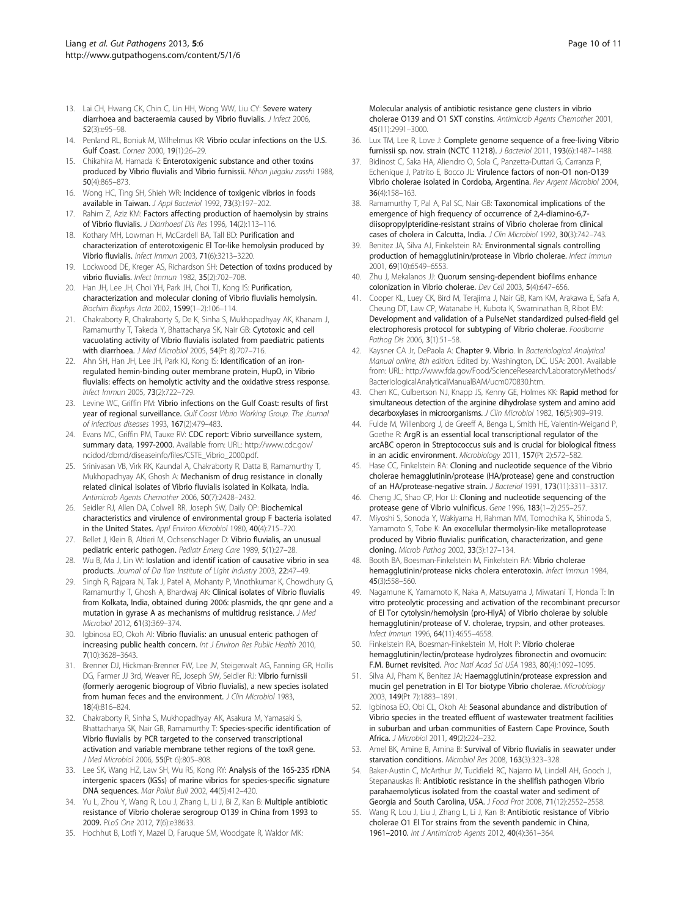- <span id="page-9-0"></span>13. Lai CH, Hwang CK, Chin C, Lin HH, Wong WW, Liu CY: Severe watery diarrhoea and bacteraemia caused by Vibrio fluvialis. *J Infect 2006*, 52(3):e95–98.
- 14. Penland RL, Boniuk M, Wilhelmus KR: Vibrio ocular infections on the U.S. Gulf Coast. Cornea 2000, 19(1):26–29.
- 15. Chikahira M, Hamada K: Enterotoxigenic substance and other toxins produced by Vibrio fluvialis and Vibrio furnissii. Nihon juigaku zasshi 1988, 50(4):865–873.
- 16. Wong HC, Ting SH, Shieh WR: Incidence of toxigenic vibrios in foods available in Taiwan. J Appl Bacteriol 1992, 73(3):197–202.
- 17. Rahim Z, Aziz KM: Factors affecting production of haemolysin by strains of Vibrio fluvialis. J Diarrhoeal Dis Res 1996, 14(2):113–116.
- 18. Kothary MH, Lowman H, McCardell BA, Tall BD: Purification and characterization of enterotoxigenic El Tor-like hemolysin produced by Vibrio fluvialis. Infect Immun 2003, 71(6):3213–3220.
- 19. Lockwood DE, Kreger AS, Richardson SH: Detection of toxins produced by vibrio fluvialis. Infect Immun 1982, 35(2):702–708.
- 20. Han JH, Lee JH, Choi YH, Park JH, Choi TJ, Kong IS: Purification, characterization and molecular cloning of Vibrio fluvialis hemolysin. Biochim Biophys Acta 2002, 1599(1–2):106–114.
- 21. Chakraborty R, Chakraborty S, De K, Sinha S, Mukhopadhyay AK, Khanam J, Ramamurthy T, Takeda Y, Bhattacharya SK, Nair GB: Cytotoxic and cell vacuolating activity of Vibrio fluvialis isolated from paediatric patients with diarrhoea. J Med Microbiol 2005, 54(Pt 8):707–716.
- 22. Ahn SH, Han JH, Lee JH, Park KJ, Kong IS: Identification of an ironregulated hemin-binding outer membrane protein, HupO, in Vibrio fluvialis: effects on hemolytic activity and the oxidative stress response. Infect Immun 2005, 73(2):722–729.
- 23. Levine WC, Griffin PM: Vibrio infections on the Gulf Coast: results of first year of regional surveillance. Gulf Coast Vibrio Working Group. The Journal of infectious diseases 1993, 167(2):479–483.
- 24. Evans MC, Griffin PM, Tauxe RV: CDC report: Vibrio surveillance system, summary data, 1997-2000. Available from: URL: [http://www.cdc.gov/](http://www.cdc.gov/ncidod/dbmd/diseaseinfo/files/CSTE_Vibrio_2000.pdf) [ncidod/dbmd/diseaseinfo/files/CSTE\\_Vibrio\\_2000.pdf.](http://www.cdc.gov/ncidod/dbmd/diseaseinfo/files/CSTE_Vibrio_2000.pdf)
- 25. Srinivasan VB, Virk RK, Kaundal A, Chakraborty R, Datta B, Ramamurthy T, Mukhopadhyay AK, Ghosh A: Mechanism of drug resistance in clonally related clinical isolates of Vibrio fluvialis isolated in Kolkata, India. Antimicrob Agents Chemother 2006, 50(7):2428–2432.
- 26. Seidler RJ, Allen DA, Colwell RR, Joseph SW, Daily OP: Biochemical characteristics and virulence of environmental group F bacteria isolated in the United States. Appl Environ Microbiol 1980, 40(4):715–720.
- 27. Bellet J, Klein B, Altieri M, Ochsenschlager D: Vibrio fluvialis, an unusual pediatric enteric pathogen. Pediatr Emerg Care 1989, 5(1):27–28.
- 28. Wu B, Ma J, Lin W: loslation and identif ication of causative vibrio in sea products. Journal of Da lian Institute of Light Industry 2003, 22:47-49.
- 29. Singh R, Rajpara N, Tak J, Patel A, Mohanty P, Vinothkumar K, Chowdhury G, Ramamurthy T, Ghosh A, Bhardwaj AK: Clinical isolates of Vibrio fluvialis from Kolkata, India, obtained during 2006: plasmids, the qnr gene and a mutation in gyrase A as mechanisms of multidrug resistance. J Med Microbiol 2012, 61(3):369–374.
- 30. Igbinosa EO, Okoh AI: Vibrio fluvialis: an unusual enteric pathogen of increasing public health concern. Int J Environ Res Public Health 2010, 7(10):3628–3643.
- 31. Brenner DJ, Hickman-Brenner FW, Lee JV, Steigerwalt AG, Fanning GR, Hollis DG, Farmer JJ 3rd, Weaver RE, Joseph SW, Seidler RJ: Vibrio furnissii (formerly aerogenic biogroup of Vibrio fluvialis), a new species isolated from human feces and the environment. J Clin Microbiol 1983, 18(4):816–824.
- 32. Chakraborty R, Sinha S, Mukhopadhyay AK, Asakura M, Yamasaki S, Bhattacharya SK, Nair GB, Ramamurthy T: Species-specific identification of Vibrio fluvialis by PCR targeted to the conserved transcriptional activation and variable membrane tether regions of the toxR gene. J Med Microbiol 2006, 55(Pt 6):805–808.
- 33. Lee SK, Wang HZ, Law SH, Wu RS, Kong RY: Analysis of the 16S-23S rDNA intergenic spacers (IGSs) of marine vibrios for species-specific signature DNA sequences. Mar Pollut Bull 2002, 44(5):412–420.
- 34. Yu L, Zhou Y, Wang R, Lou J, Zhang L, Li J, Bi Z, Kan B: Multiple antibiotic resistance of Vibrio cholerae serogroup O139 in China from 1993 to 2009. PLoS One 2012, 7(6):e38633.
- 35. Hochhut B, Lotfi Y, Mazel D, Faruque SM, Woodgate R, Waldor MK:

Molecular analysis of antibiotic resistance gene clusters in vibrio cholerae O139 and O1 SXT constins. Antimicrob Agents Chemother 2001, 45(11):2991–3000.

- 36. Lux TM, Lee R, Love J: Complete genome sequence of a free-living Vibrio furnissii sp. nov. strain (NCTC 11218). J Bacteriol 2011, 193(6):1487–1488.
- 37. Bidinost C, Saka HA, Aliendro O, Sola C, Panzetta-Duttari G, Carranza P, Echenique J, Patrito E, Bocco JL: Virulence factors of non-O1 non-O139 Vibrio cholerae isolated in Cordoba, Argentina. Rev Argent Microbiol 2004, 36(4):158–163.
- 38. Ramamurthy T, Pal A, Pal SC, Nair GB: Taxonomical implications of the emergence of high frequency of occurrence of 2,4-diamino-6,7 diisopropylpteridine-resistant strains of Vibrio cholerae from clinical cases of cholera in Calcutta, India. J Clin Microbiol 1992, 30(3):742-743.
- 39. Benitez JA, Silva AJ, Finkelstein RA: Environmental signals controlling production of hemagglutinin/protease in Vibrio cholerae. Infect Immun 2001, 69(10):6549–6553.
- 40. Zhu J, Mekalanos JJ: Quorum sensing-dependent biofilms enhance colonization in Vibrio cholerae. Dev Cell 2003, 5(4):647–656.
- 41. Cooper KL, Luey CK, Bird M, Terajima J, Nair GB, Kam KM, Arakawa E, Safa A, Cheung DT, Law CP, Watanabe H, Kubota K, Swaminathan B, Ribot EM: Development and validation of a PulseNet standardized pulsed-field gel electrophoresis protocol for subtyping of Vibrio cholerae. Foodborne Pathog Dis 2006, 3(1):51–58.
- 42. Kaysner CA Jr, DePaola A: Chapter 9. Vibrio. In Bacteriological Analytical Manual online, 8th edition. Edited by. Washington, DC. USA: 2001. Available from: URL: [http://www.fda.gov/Food/ScienceResearch/LaboratoryMethods/](http://www.fda.gov/Food/ScienceResearch/LaboratoryMethods/BacteriologicalAnalyticalManualBAM/ucm070830.htm) [BacteriologicalAnalyticalManualBAM/ucm070830.htm.](http://www.fda.gov/Food/ScienceResearch/LaboratoryMethods/BacteriologicalAnalyticalManualBAM/ucm070830.htm)
- 43. Chen KC, Culbertson NJ, Knapp JS, Kenny GE, Holmes KK: Rapid method for simultaneous detection of the arginine dihydrolase system and amino acid decarboxylases in microorganisms. J Clin Microbiol 1982, 16(5):909–919.
- 44. Fulde M, Willenborg J, de Greeff A, Benga L, Smith HE, Valentin-Weigand P, Goethe R: ArgR is an essential local transcriptional regulator of the arcABC operon in Streptococcus suis and is crucial for biological fitness in an acidic environment. Microbiology 2011, 157(Pt 2):572–582.
- 45. Hase CC, Finkelstein RA: Cloning and nucleotide sequence of the Vibrio cholerae hemagglutinin/protease (HA/protease) gene and construction of an HA/protease-negative strain. J Bacteriol 1991, 173(11):3311–3317.
- 46. Cheng JC, Shao CP, Hor LI: Cloning and nucleotide sequencing of the protease gene of Vibrio vulnificus. Gene 1996, 183(1–2):255–257.
- 47. Miyoshi S, Sonoda Y, Wakiyama H, Rahman MM, Tomochika K, Shinoda S, Yamamoto S, Tobe K: An exocellular thermolysin-like metalloprotease produced by Vibrio fluvialis: purification, characterization, and gene cloning. Microb Pathog 2002, 33(3):127–134.
- 48. Booth BA, Boesman-Finkelstein M, Finkelstein RA: Vibrio cholerae hemagglutinin/protease nicks cholera enterotoxin. Infect Immun 1984, 45(3):558–560.
- 49. Nagamune K, Yamamoto K, Naka A, Matsuyama J, Miwatani T, Honda T: In vitro proteolytic processing and activation of the recombinant precursor of El Tor cytolysin/hemolysin (pro-HlyA) of Vibrio cholerae by soluble hemagglutinin/protease of V. cholerae, trypsin, and other proteases. Infect Immun 1996, 64(11):4655–4658.
- 50. Finkelstein RA, Boesman-Finkelstein M, Holt P: Vibrio cholerae hemagglutinin/lectin/protease hydrolyzes fibronectin and ovomucin: F.M. Burnet revisited. Proc Natl Acad Sci USA 1983, 80(4):1092–1095.
- 51. Silva AJ, Pham K, Benitez JA: Haemagglutinin/protease expression and mucin gel penetration in El Tor biotype Vibrio cholerae. Microbiology 2003, 149(Pt 7):1883–1891.
- 52. Igbinosa EO, Obi CL, Okoh AI: Seasonal abundance and distribution of Vibrio species in the treated effluent of wastewater treatment facilities in suburban and urban communities of Eastern Cape Province, South Africa. J Microbiol 2011, 49(2):224–232.
- 53. Amel BK, Amine B, Amina B: Survival of Vibrio fluvialis in seawater under starvation conditions. Microbiol Res 2008, 163(3):323–328.
- 54. Baker-Austin C, McArthur JV, Tuckfield RC, Najarro M, Lindell AH, Gooch J, Stepanauskas R: Antibiotic resistance in the shellfish pathogen Vibrio parahaemolyticus isolated from the coastal water and sediment of Georgia and South Carolina, USA. J Food Prot 2008, 71(12):2552-2558.
- 55. Wang R, Lou J, Liu J, Zhang L, Li J, Kan B: Antibiotic resistance of Vibrio cholerae O1 El Tor strains from the seventh pandemic in China, 1961–2010. Int J Antimicrob Agents 2012, 40(4):361–364.